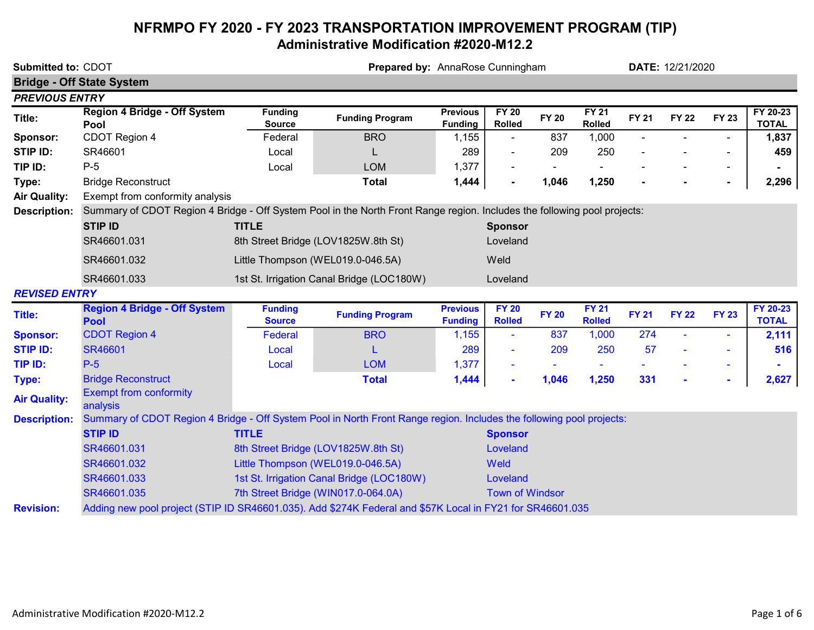# NFRMPO FY 2020 - FY 2023 TRANSPORTATION IMPROVEMENT PROGRAM (TIP) Administrative Modification #2020-M12.2

| Submitted to: CDOT    |                                                                                                                          |                                 | Prepared by: AnnaRose Cunningham          |                                   |                               |              |                               | DATE: 12/21/2020 |              |                          |                          |  |
|-----------------------|--------------------------------------------------------------------------------------------------------------------------|---------------------------------|-------------------------------------------|-----------------------------------|-------------------------------|--------------|-------------------------------|------------------|--------------|--------------------------|--------------------------|--|
|                       | <b>Bridge - Off State System</b>                                                                                         |                                 |                                           |                                   |                               |              |                               |                  |              |                          |                          |  |
| <b>PREVIOUS ENTRY</b> |                                                                                                                          |                                 |                                           |                                   |                               |              |                               |                  |              |                          |                          |  |
| Title:                | Region 4 Bridge - Off System<br>Pool                                                                                     | <b>Funding</b><br><b>Source</b> | <b>Funding Program</b>                    | <b>Previous</b><br><b>Funding</b> | <b>FY 20</b><br>Rolled        | <b>FY 20</b> | <b>FY 21</b><br><b>Rolled</b> | <b>FY 21</b>     | <b>FY 22</b> | <b>FY 23</b>             | FY 20-23<br><b>TOTAL</b> |  |
| Sponsor:              | CDOT Region 4                                                                                                            | Federal                         | <b>BRO</b>                                | 1,155                             | $\blacksquare$                | 837          | 1,000                         |                  |              | $\overline{\phantom{a}}$ | 1,837                    |  |
| <b>STIP ID:</b>       | SR46601                                                                                                                  | Local                           |                                           | 289                               |                               | 209          | 250                           |                  |              | ÷,                       | 459                      |  |
| TIP ID:               | $P-5$                                                                                                                    | Local                           | <b>LOM</b>                                | 1,377                             |                               |              |                               |                  |              | $\blacksquare$           |                          |  |
| Type:                 | <b>Bridge Reconstruct</b>                                                                                                |                                 | <b>Total</b>                              | 1,444                             |                               | 1,046        | 1,250                         |                  |              | $\blacksquare$           | 2,296                    |  |
| <b>Air Quality:</b>   | Exempt from conformity analysis                                                                                          |                                 |                                           |                                   |                               |              |                               |                  |              |                          |                          |  |
| <b>Description:</b>   | Summary of CDOT Region 4 Bridge - Off System Pool in the North Front Range region. Includes the following pool projects: |                                 |                                           |                                   |                               |              |                               |                  |              |                          |                          |  |
|                       | <b>STIP ID</b>                                                                                                           | <b>TITLE</b>                    |                                           |                                   | <b>Sponsor</b>                |              |                               |                  |              |                          |                          |  |
|                       | SR46601.031                                                                                                              |                                 | 8th Street Bridge (LOV1825W.8th St)       |                                   | Loveland                      |              |                               |                  |              |                          |                          |  |
|                       | SR46601.032                                                                                                              |                                 | Little Thompson (WEL019.0-046.5A)         |                                   | Weld                          |              |                               |                  |              |                          |                          |  |
|                       | SR46601.033                                                                                                              |                                 | 1st St. Irrigation Canal Bridge (LOC180W) |                                   | Loveland                      |              |                               |                  |              |                          |                          |  |
| <b>REVISED ENTRY</b>  |                                                                                                                          |                                 |                                           |                                   |                               |              |                               |                  |              |                          |                          |  |
| <b>Title:</b>         | <b>Region 4 Bridge - Off System</b><br><b>Pool</b>                                                                       | <b>Funding</b><br><b>Source</b> | <b>Funding Program</b>                    | <b>Previous</b><br><b>Funding</b> | <b>FY 20</b><br><b>Rolled</b> | <b>FY 20</b> | <b>FY 21</b><br><b>Rolled</b> | <b>FY 21</b>     | <b>FY 22</b> | <b>FY 23</b>             | FY 20-23<br><b>TOTAL</b> |  |
| <b>Sponsor:</b>       | <b>CDOT Region 4</b>                                                                                                     | Federal                         | <b>BRO</b>                                | 1,155                             |                               | 837          | 1,000                         | 274              |              | ÷                        | 2,111                    |  |
| <b>STIP ID:</b>       | SR46601                                                                                                                  | Local                           |                                           | 289                               |                               | 209          | 250                           | 57               |              | $\blacksquare$           | 516                      |  |
| TIP ID:               | $P-5$                                                                                                                    | Local                           | <b>LOM</b>                                | 1,377                             |                               |              |                               |                  |              | $\blacksquare$           |                          |  |
| Type:                 | <b>Bridge Reconstruct</b>                                                                                                |                                 | <b>Total</b>                              | 1,444                             |                               | 1,046        | 1,250                         | 331              |              | $\sim$                   | 2,627                    |  |
| <b>Air Quality:</b>   | <b>Exempt from conformity</b><br>analysis                                                                                |                                 |                                           |                                   |                               |              |                               |                  |              |                          |                          |  |
| <b>Description:</b>   | Summary of CDOT Region 4 Bridge - Off System Pool in North Front Range region. Includes the following pool projects:     |                                 |                                           |                                   |                               |              |                               |                  |              |                          |                          |  |
|                       | <b>STIP ID</b>                                                                                                           | <b>TITLE</b>                    |                                           |                                   | <b>Sponsor</b>                |              |                               |                  |              |                          |                          |  |
|                       | SR46601.031                                                                                                              |                                 | 8th Street Bridge (LOV1825W.8th St)       |                                   | Loveland                      |              |                               |                  |              |                          |                          |  |
|                       | SR46601.032                                                                                                              |                                 | Little Thompson (WEL019.0-046.5A)         |                                   | Weld                          |              |                               |                  |              |                          |                          |  |
|                       | SR46601.033                                                                                                              |                                 | 1st St. Irrigation Canal Bridge (LOC180W) |                                   | Loveland                      |              |                               |                  |              |                          |                          |  |
|                       | SR46601.035                                                                                                              |                                 | 7th Street Bridge (WIN017.0-064.0A)       |                                   | <b>Town of Windsor</b>        |              |                               |                  |              |                          |                          |  |
| <b>Revision:</b>      | Adding new pool project (STIP ID SR46601.035). Add \$274K Federal and \$57K Local in FY21 for SR46601.035                |                                 |                                           |                                   |                               |              |                               |                  |              |                          |                          |  |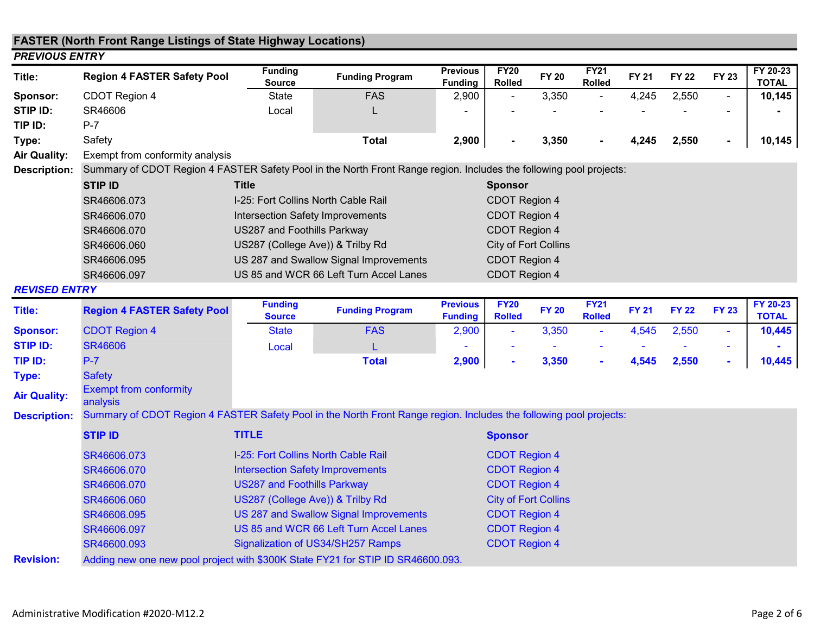# FASTER (North Front Range Listings of State Highway Locations)

| <b>PREVIOUS ENTRY</b>  |                                                                                                                    |                                     |                                        |                                   |                              |              |                              |              |              |                |                          |
|------------------------|--------------------------------------------------------------------------------------------------------------------|-------------------------------------|----------------------------------------|-----------------------------------|------------------------------|--------------|------------------------------|--------------|--------------|----------------|--------------------------|
| Title:                 | <b>Region 4 FASTER Safety Pool</b>                                                                                 | <b>Funding</b><br>Source            | <b>Funding Program</b>                 | <b>Previous</b><br><b>Funding</b> | <b>FY20</b><br><b>Rolled</b> | <b>FY 20</b> | <b>FY21</b><br><b>Rolled</b> | <b>FY 21</b> | <b>FY 22</b> | <b>FY 23</b>   | FY 20-23<br><b>TOTAL</b> |
| <b>Sponsor:</b>        | CDOT Region 4                                                                                                      | State                               | <b>FAS</b>                             | 2,900                             | $\sim$                       | 3,350        | $\sim$                       | 4,245        | 2,550        | $\sim$         | 10,145                   |
| STIP ID:               | SR46606                                                                                                            | Local                               | L                                      |                                   |                              |              |                              |              |              |                |                          |
| TIP ID:                | $P-7$                                                                                                              |                                     |                                        |                                   |                              |              |                              |              |              |                |                          |
| Type:                  | Safety                                                                                                             |                                     | Total                                  | 2,900                             |                              | 3,350        | $\sim$                       | 4,245        | 2,550        | $\blacksquare$ | 10,145                   |
| <b>Air Quality:</b>    | Exempt from conformity analysis                                                                                    |                                     |                                        |                                   |                              |              |                              |              |              |                |                          |
| <b>Description:</b>    | Summary of CDOT Region 4 FASTER Safety Pool in the North Front Range region. Includes the following pool projects: |                                     |                                        |                                   |                              |              |                              |              |              |                |                          |
|                        | <b>STIP ID</b>                                                                                                     | <b>Title</b>                        |                                        |                                   |                              |              |                              |              |              |                |                          |
|                        | SR46606.073                                                                                                        | I-25: Fort Collins North Cable Rail |                                        |                                   | CDOT Region 4                |              |                              |              |              |                |                          |
|                        | SR46606.070                                                                                                        | Intersection Safety Improvements    |                                        |                                   | <b>CDOT Region 4</b>         |              |                              |              |              |                |                          |
|                        | SR46606.070                                                                                                        | US287 and Foothills Parkway         |                                        |                                   | CDOT Region 4                |              |                              |              |              |                |                          |
|                        | SR46606.060                                                                                                        | US287 (College Ave)) & Trilby Rd    |                                        |                                   | City of Fort Collins         |              |                              |              |              |                |                          |
|                        | SR46606.095                                                                                                        |                                     | US 287 and Swallow Signal Improvements |                                   | CDOT Region 4                |              |                              |              |              |                |                          |
|                        | SR46606.097                                                                                                        |                                     | US 85 and WCR 66 Left Turn Accel Lanes |                                   | CDOT Region 4                |              |                              |              |              |                |                          |
| --- <i>---</i> ------- |                                                                                                                    |                                     |                                        |                                   |                              |              |                              |              |              |                |                          |

#### REVISED ENTRY

| Title:              | <b>Region 4 FASTER Safety Pool</b>                                                                                 | <b>Funding</b><br><b>Source</b>         | <b>Funding Program</b>                 | <b>Previous</b><br><b>Funding</b> | <b>FY20</b><br><b>Rolled</b> | <b>FY 20</b> | <b>FY21</b><br><b>Rolled</b> | <b>FY 21</b> | <b>FY 22</b> | <b>FY 23</b> | FY 20-23<br><b>TOTAL</b> |
|---------------------|--------------------------------------------------------------------------------------------------------------------|-----------------------------------------|----------------------------------------|-----------------------------------|------------------------------|--------------|------------------------------|--------------|--------------|--------------|--------------------------|
| <b>Sponsor:</b>     | <b>CDOT Region 4</b>                                                                                               | <b>State</b>                            | <b>FAS</b>                             | 2,900                             | $\sim$                       | 3,350        | $\sim$                       | 4,545        | 2,550        | $\sim$       | 10,445                   |
| <b>STIP ID:</b>     | <b>SR46606</b>                                                                                                     | Local                                   | L                                      |                                   |                              |              |                              |              |              | $\sim$       |                          |
| TIP ID:             | $P-7$                                                                                                              |                                         | <b>Total</b>                           | 2,900                             | $\blacksquare$               | 3,350        | $\sim$                       | 4,545        | 2,550        | $\sim$       | 10,445                   |
| Type:               | <b>Safety</b>                                                                                                      |                                         |                                        |                                   |                              |              |                              |              |              |              |                          |
| <b>Air Quality:</b> | <b>Exempt from conformity</b><br>analysis                                                                          |                                         |                                        |                                   |                              |              |                              |              |              |              |                          |
| <b>Description:</b> | Summary of CDOT Region 4 FASTER Safety Pool in the North Front Range region. Includes the following pool projects: |                                         |                                        |                                   |                              |              |                              |              |              |              |                          |
|                     | <b>STIP ID</b>                                                                                                     | <b>TITLE</b>                            |                                        | <b>Sponsor</b>                    |                              |              |                              |              |              |              |                          |
|                     | SR46606.073                                                                                                        | I-25: Fort Collins North Cable Rail     |                                        |                                   | <b>CDOT Region 4</b>         |              |                              |              |              |              |                          |
|                     | SR46606.070                                                                                                        | <b>Intersection Safety Improvements</b> |                                        |                                   | <b>CDOT Region 4</b>         |              |                              |              |              |              |                          |
|                     | SR46606.070                                                                                                        | <b>US287 and Foothills Parkway</b>      |                                        |                                   | <b>CDOT Region 4</b>         |              |                              |              |              |              |                          |
|                     | SR46606.060                                                                                                        | US287 (College Ave)) & Trilby Rd        |                                        |                                   | <b>City of Fort Collins</b>  |              |                              |              |              |              |                          |
|                     | SR46606.095                                                                                                        |                                         | US 287 and Swallow Signal Improvements |                                   | <b>CDOT Region 4</b>         |              |                              |              |              |              |                          |
|                     | SR46606.097                                                                                                        |                                         | US 85 and WCR 66 Left Turn Accel Lanes |                                   | <b>CDOT Region 4</b>         |              |                              |              |              |              |                          |
|                     | SR46600.093                                                                                                        |                                         | Signalization of US34/SH257 Ramps      |                                   | <b>CDOT Region 4</b>         |              |                              |              |              |              |                          |
| <b>Revision:</b>    | Adding new one new pool project with \$300K State FY21 for STIP ID SR46600.093.                                    |                                         |                                        |                                   |                              |              |                              |              |              |              |                          |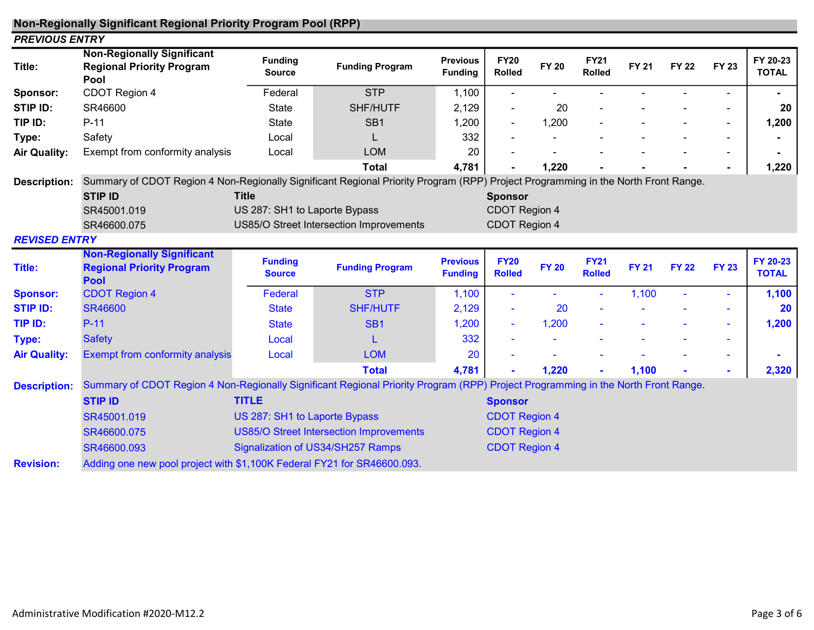## Non-Regionally Significant Regional Priority Program Pool (RPP)

| <b>PREVIOUS ENTRY</b>                                                 |                                    |                                                                                     |                                                                                                           |                                              |              |                                                                                                     |              |              |              |                                                                                                                                                                                                                                                                        |
|-----------------------------------------------------------------------|------------------------------------|-------------------------------------------------------------------------------------|-----------------------------------------------------------------------------------------------------------|----------------------------------------------|--------------|-----------------------------------------------------------------------------------------------------|--------------|--------------|--------------|------------------------------------------------------------------------------------------------------------------------------------------------------------------------------------------------------------------------------------------------------------------------|
| <b>Non-Regionally Significant</b><br><b>Regional Priority Program</b> | <b>Funding</b><br><b>Source</b>    | <b>Funding Program</b>                                                              | <b>Previous</b><br><b>Funding</b>                                                                         | <b>FY20</b><br>Rolled                        | <b>FY 20</b> | <b>FY21</b><br><b>Rolled</b>                                                                        | <b>FY 21</b> | <b>FY 22</b> | <b>FY 23</b> | FY 20-23<br><b>TOTAL</b>                                                                                                                                                                                                                                               |
| CDOT Region 4                                                         | Federal                            | <b>STP</b>                                                                          | 1,100                                                                                                     |                                              |              |                                                                                                     |              |              |              |                                                                                                                                                                                                                                                                        |
| SR46600                                                               | <b>State</b>                       | SHF/HUTF                                                                            | 2,129                                                                                                     |                                              | 20           |                                                                                                     |              |              |              | 20                                                                                                                                                                                                                                                                     |
| $P-11$                                                                | State                              | SB <sub>1</sub>                                                                     | 1,200                                                                                                     |                                              | 1,200        |                                                                                                     |              |              | $\sim$       | 1,200                                                                                                                                                                                                                                                                  |
| Safety                                                                | Local                              |                                                                                     | 332                                                                                                       |                                              |              |                                                                                                     |              |              |              |                                                                                                                                                                                                                                                                        |
| Exempt from conformity analysis                                       | Local                              | <b>LOM</b>                                                                          | 20                                                                                                        |                                              |              |                                                                                                     |              |              |              |                                                                                                                                                                                                                                                                        |
|                                                                       |                                    | <b>Total</b>                                                                        | 4,781                                                                                                     |                                              | 1,220        |                                                                                                     |              |              |              | 1,220                                                                                                                                                                                                                                                                  |
|                                                                       |                                    |                                                                                     |                                                                                                           |                                              |              |                                                                                                     |              |              |              |                                                                                                                                                                                                                                                                        |
| STIP ID                                                               | <b>Title</b>                       |                                                                                     |                                                                                                           |                                              |              |                                                                                                     |              |              |              |                                                                                                                                                                                                                                                                        |
| SR45001.019                                                           |                                    |                                                                                     |                                                                                                           |                                              |              |                                                                                                     |              |              |              |                                                                                                                                                                                                                                                                        |
| SR46600.075                                                           |                                    |                                                                                     |                                                                                                           |                                              |              |                                                                                                     |              |              |              |                                                                                                                                                                                                                                                                        |
| <b>REVISED ENTRY</b>                                                  |                                    |                                                                                     |                                                                                                           |                                              |              |                                                                                                     |              |              |              |                                                                                                                                                                                                                                                                        |
| <b>Non-Regionally Significant</b><br><b>Regional Priority Program</b> | <b>Funding</b><br><b>Source</b>    | <b>Funding Program</b>                                                              | <b>Previous</b><br><b>Funding</b>                                                                         | <b>FY20</b><br><b>Rolled</b>                 | <b>FY 20</b> | <b>FY21</b><br><b>Rolled</b>                                                                        | <b>FY 21</b> | <b>FY 22</b> | <b>FY 23</b> | FY 20-23<br><b>TOTAL</b>                                                                                                                                                                                                                                               |
| <b>CDOT Region 4</b>                                                  | Federal                            | <b>STP</b>                                                                          | 1,100                                                                                                     |                                              |              | ٠                                                                                                   | 1,100        |              | $\sim$       | 1,100                                                                                                                                                                                                                                                                  |
| <b>SR46600</b>                                                        | <b>State</b>                       | <b>SHF/HUTF</b>                                                                     | 2,129                                                                                                     |                                              | 20           |                                                                                                     |              |              |              | 20                                                                                                                                                                                                                                                                     |
| $P-11$                                                                | <b>State</b>                       | SB <sub>1</sub>                                                                     | 1,200                                                                                                     |                                              | 1,200        |                                                                                                     |              |              | $\sim$       | 1,200                                                                                                                                                                                                                                                                  |
| <b>Safety</b>                                                         | Local                              |                                                                                     | 332                                                                                                       |                                              |              |                                                                                                     |              |              | $\sim$       |                                                                                                                                                                                                                                                                        |
| <b>Exempt from conformity analysis</b>                                | Local                              | <b>LOM</b>                                                                          | 20                                                                                                        |                                              |              |                                                                                                     |              |              |              |                                                                                                                                                                                                                                                                        |
|                                                                       |                                    | <b>Total</b>                                                                        |                                                                                                           |                                              |              |                                                                                                     |              |              |              | 2,320                                                                                                                                                                                                                                                                  |
|                                                                       |                                    |                                                                                     |                                                                                                           |                                              |              |                                                                                                     |              |              |              |                                                                                                                                                                                                                                                                        |
| <b>STIP ID</b>                                                        | <b>TITLE</b>                       |                                                                                     |                                                                                                           |                                              |              |                                                                                                     |              |              |              |                                                                                                                                                                                                                                                                        |
|                                                                       |                                    |                                                                                     |                                                                                                           |                                              |              |                                                                                                     |              |              |              |                                                                                                                                                                                                                                                                        |
|                                                                       |                                    |                                                                                     |                                                                                                           |                                              |              |                                                                                                     |              |              |              |                                                                                                                                                                                                                                                                        |
|                                                                       |                                    |                                                                                     |                                                                                                           |                                              |              |                                                                                                     |              |              |              |                                                                                                                                                                                                                                                                        |
| SR46600.075<br>SR46600.093                                            |                                    | <b>US85/O Street Intersection Improvements</b><br>Signalization of US34/SH257 Ramps |                                                                                                           | <b>CDOT Region 4</b><br><b>CDOT Region 4</b> |              |                                                                                                     |              |              |              |                                                                                                                                                                                                                                                                        |
|                                                                       | Pool<br><b>Pool</b><br>SR45001.019 |                                                                                     | US 287: SH1 to Laporte Bypass<br>US85/O Street Intersection Improvements<br>US 287: SH1 to Laporte Bypass | 4,781                                        |              | <b>Sponsor</b><br>CDOT Region 4<br>CDOT Region 4<br>1,220<br><b>Sponsor</b><br><b>CDOT Region 4</b> |              | 1,100        |              | Summary of CDOT Region 4 Non-Regionally Significant Regional Priority Program (RPP) Project Programming in the North Front Range.<br>Summary of CDOT Region 4 Non-Regionally Significant Regional Priority Program (RPP) Project Programming in the North Front Range. |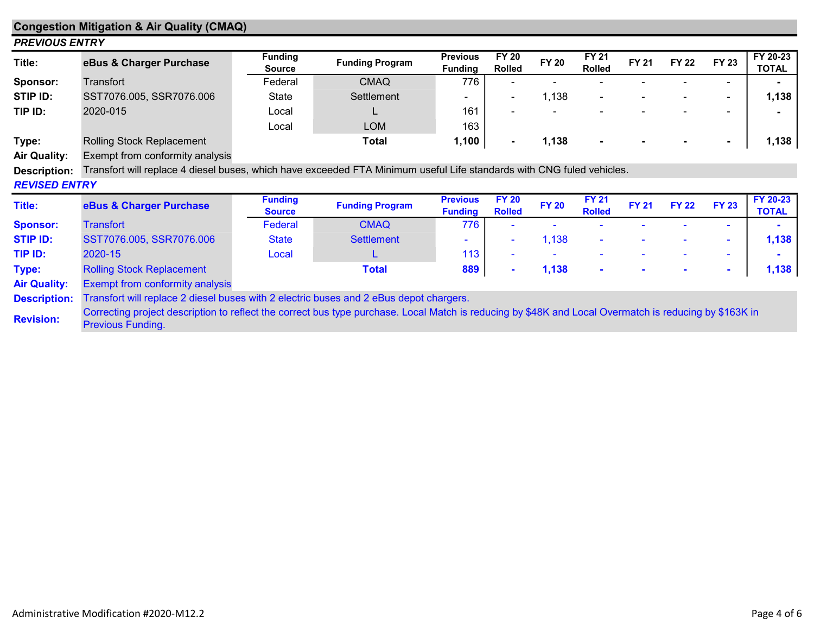| <b>Congestion Mitigation &amp; Air Quality (CMAQ)</b> |                                                                                                                                                                             |                                 |                        |                                   |                               |              |                               |              |              |                |                          |  |
|-------------------------------------------------------|-----------------------------------------------------------------------------------------------------------------------------------------------------------------------------|---------------------------------|------------------------|-----------------------------------|-------------------------------|--------------|-------------------------------|--------------|--------------|----------------|--------------------------|--|
| <b>PREVIOUS ENTRY</b>                                 |                                                                                                                                                                             |                                 |                        |                                   |                               |              |                               |              |              |                |                          |  |
| Title:                                                | eBus & Charger Purchase                                                                                                                                                     | <b>Funding</b><br><b>Source</b> | <b>Funding Program</b> | <b>Previous</b><br><b>Funding</b> | <b>FY 20</b><br><b>Rolled</b> | <b>FY 20</b> | <b>FY 21</b><br><b>Rolled</b> | <b>FY 21</b> | <b>FY 22</b> | <b>FY 23</b>   | FY 20-23<br><b>TOTAL</b> |  |
| Sponsor:                                              | Transfort                                                                                                                                                                   | Federal                         | <b>CMAQ</b>            | 776                               |                               |              |                               |              |              | $\blacksquare$ |                          |  |
| STIP ID:                                              | SST7076.005, SSR7076.006                                                                                                                                                    | State                           | Settlement             |                                   | $\blacksquare$                | 1,138        |                               |              |              | $\sim$         | 1,138                    |  |
| TIP ID:                                               | 2020-015                                                                                                                                                                    | Local                           |                        | 161                               |                               |              |                               |              |              | ٠              |                          |  |
|                                                       |                                                                                                                                                                             | Local                           | <b>LOM</b>             | 163                               |                               |              |                               |              |              |                |                          |  |
| Type:                                                 | Rolling Stock Replacement                                                                                                                                                   |                                 | <b>Total</b>           | 1,100                             | $\blacksquare$                | 1,138        |                               |              |              |                | 1,138                    |  |
| <b>Air Quality:</b>                                   | Exempt from conformity analysis                                                                                                                                             |                                 |                        |                                   |                               |              |                               |              |              |                |                          |  |
| <b>Description:</b>                                   | Transfort will replace 4 diesel buses, which have exceeded FTA Minimum useful Life standards with CNG fuled vehicles.                                                       |                                 |                        |                                   |                               |              |                               |              |              |                |                          |  |
| <b>REVISED ENTRY</b>                                  |                                                                                                                                                                             |                                 |                        |                                   |                               |              |                               |              |              |                |                          |  |
| Title:                                                | eBus & Charger Purchase                                                                                                                                                     | <b>Funding</b><br><b>Source</b> | <b>Funding Program</b> | <b>Previous</b><br><b>Funding</b> | <b>FY 20</b><br><b>Rolled</b> | <b>FY 20</b> | <b>FY 21</b><br><b>Rolled</b> | <b>FY 21</b> | <b>FY 22</b> | <b>FY 23</b>   | FY 20-23<br><b>TOTAL</b> |  |
| <b>Sponsor:</b>                                       | <b>Transfort</b>                                                                                                                                                            | Federal                         | <b>CMAQ</b>            | 776                               |                               |              |                               |              |              | ٠              |                          |  |
| <b>STIP ID:</b>                                       | SST7076.005, SSR7076.006                                                                                                                                                    | <b>State</b>                    | <b>Settlement</b>      | $\sim$                            | $\blacksquare$                | 1,138        |                               |              |              | ÷.             | 1,138                    |  |
| TIP ID:                                               | 2020-15                                                                                                                                                                     | Local                           | ┗                      | 113                               | ۰                             |              |                               |              |              | $\sim$         |                          |  |
| Type:                                                 | <b>Rolling Stock Replacement</b>                                                                                                                                            |                                 | <b>Total</b>           | 889                               | $\blacksquare$                | 1,138        | $\blacksquare$                |              |              | $\sim$         | 1,138                    |  |
| <b>Air Quality:</b>                                   | <b>Exempt from conformity analysis</b>                                                                                                                                      |                                 |                        |                                   |                               |              |                               |              |              |                |                          |  |
| <b>Description:</b>                                   | Transfort will replace 2 diesel buses with 2 electric buses and 2 eBus depot chargers.                                                                                      |                                 |                        |                                   |                               |              |                               |              |              |                |                          |  |
| <b>Revision:</b>                                      | Correcting project description to reflect the correct bus type purchase. Local Match is reducing by \$48K and Local Overmatch is reducing by \$163K in<br>Previous Funding. |                                 |                        |                                   |                               |              |                               |              |              |                |                          |  |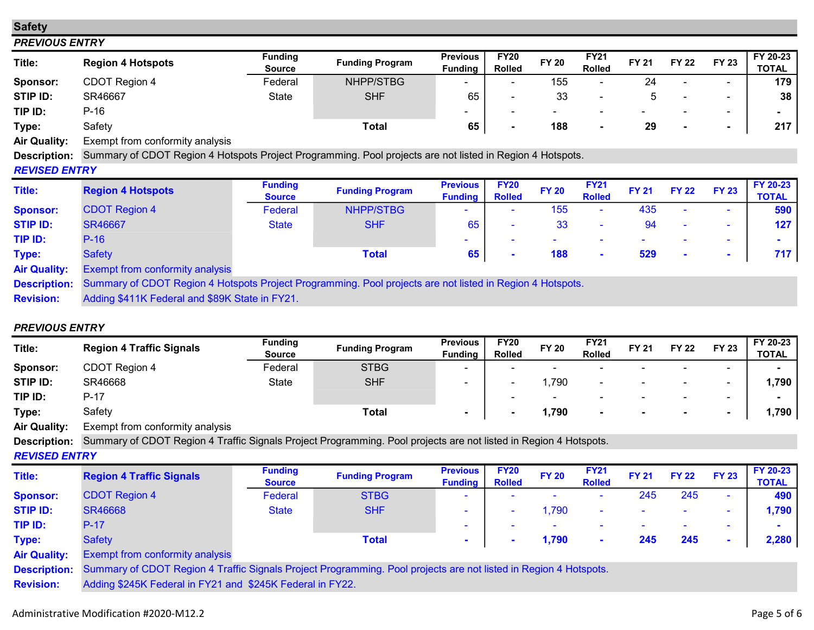## Safety

### PREVIOUS ENTRY

| Title:                            | <b>Region 4 Hotspots</b>         | <b>Funding</b><br><b>Source</b> | <b>Funding Program</b> | <b>Previous</b><br>Funding | <b>FY20</b><br><b>Rolled</b> | <b>FY 20</b>             | <b>FY21</b><br><b>Rolled</b> | <b>FY 21</b> | <b>FY 22</b>             | <b>FY 23</b>             | FY 20-23<br>TOTAL |
|-----------------------------------|----------------------------------|---------------------------------|------------------------|----------------------------|------------------------------|--------------------------|------------------------------|--------------|--------------------------|--------------------------|-------------------|
| Sponsor:                          | CDOT Region 4                    | Federal                         | NHPP/STBG              |                            | $\overline{\phantom{0}}$     | 155                      | -                            | 24           |                          | $\overline{\phantom{a}}$ | 179               |
| STIP ID:                          | SR46667                          | State                           | <b>SHF</b>             | 65                         |                              | 33                       |                              |              |                          | $\overline{\phantom{0}}$ | 38                |
| TIP ID:                           | $P-16$                           |                                 |                        |                            | $\overline{\phantom{a}}$     | $\overline{\phantom{0}}$ | $\overline{\phantom{a}}$     | -            | $\overline{\phantom{a}}$ | $\overline{\phantom{0}}$ |                   |
| Type:                             | Safety                           |                                 | <b>Total</b>           | 65                         |                              | 188                      |                              | 29           |                          |                          | 217               |
| $A: \mathcal{A} \cup \mathcal{A}$ | Evenint from confermity coolinio |                                 |                        |                            |                              |                          |                              |              |                          |                          |                   |

Air Quality: Exempt from conformity analysis

Description: Summary of CDOT Region 4 Hotspots Project Programming. Pool projects are not listed in Region 4 Hotspots.

## REVISED ENTRY

| Title:              | <b>Region 4 Hotspots</b>                                                                                  | <b>Funding</b><br><b>Source</b> | <b>Funding Program</b> | <b>Previous</b><br><b>Funding</b> | <b>FY20</b><br><b>Rolled</b> | <b>FY 20</b> | <b>FY21</b><br><b>Rolled</b> | <b>FY 21</b> | <b>FY 22</b> | <b>FY 23</b>             | <b>FY 20-23</b><br><b>TOTAL</b> |
|---------------------|-----------------------------------------------------------------------------------------------------------|---------------------------------|------------------------|-----------------------------------|------------------------------|--------------|------------------------------|--------------|--------------|--------------------------|---------------------------------|
| <b>Sponsor:</b>     | <b>CDOT Region 4</b>                                                                                      | Federal                         | <b>NHPP/STBG</b>       |                                   |                              | 155          | $\sim$                       | 435          | $\sim$       | $\sim$                   | 590                             |
| <b>STIP ID:</b>     | <b>SR46667</b>                                                                                            | <b>State</b>                    | <b>SHF</b>             | 65                                | $\overline{\phantom{0}}$     | 33           | $\overline{\phantom{a}}$     | 94           | $\sim$       | $\sim$                   | 127                             |
| TIP ID:             | $P-16$                                                                                                    |                                 |                        | -                                 |                              |              |                              |              |              | $\sim$                   |                                 |
| Type:               | <b>Safety</b>                                                                                             |                                 | <b>Total</b>           | 65                                | $\blacksquare$               | 188          | $\sim$                       | 529          | $\sim$       | $\overline{\phantom{a}}$ | 717                             |
| <b>Air Quality:</b> | <b>Exempt from conformity analysis</b>                                                                    |                                 |                        |                                   |                              |              |                              |              |              |                          |                                 |
| <b>Description:</b> | Summary of CDOT Region 4 Hotspots Project Programming. Pool projects are not listed in Region 4 Hotspots. |                                 |                        |                                   |                              |              |                              |              |              |                          |                                 |
| <b>Revision:</b>    | Adding \$411K Federal and \$89K State in FY21.                                                            |                                 |                        |                                   |                              |              |                              |              |              |                          |                                 |

## PREVIOUS ENTRY

| Title:              | <b>Region 4 Traffic Signals</b> | <b>Funding</b> | <b>Funding Program</b> | <b>Previous</b> | <b>FY20</b>   | <b>FY 20</b>             | <b>FY21</b>              | <b>FY 21</b>             | <b>FY 22</b>             | <b>FY 23</b>             | FY 20-23     |
|---------------------|---------------------------------|----------------|------------------------|-----------------|---------------|--------------------------|--------------------------|--------------------------|--------------------------|--------------------------|--------------|
|                     |                                 | <b>Source</b>  |                        | <b>Funding</b>  | <b>Rolled</b> |                          | <b>Rolled</b>            |                          |                          |                          | <b>TOTAL</b> |
| Sponsor:            | CDOT Region 4                   | Federal        | <b>STBG</b>            | -               |               | $\overline{\phantom{a}}$ | $\overline{\phantom{0}}$ |                          | $\overline{\phantom{0}}$ | $\overline{\phantom{0}}$ |              |
| STIP ID:            | SR46668                         | State          | <b>SHF</b>             |                 |               | ,790                     | $\overline{\phantom{0}}$ | $\overline{\phantom{0}}$ | $\overline{\phantom{0}}$ | $\overline{\phantom{0}}$ | 1,790        |
| TIP ID:             | P-17                            |                |                        |                 |               | $\overline{\phantom{a}}$ | $\overline{\phantom{0}}$ |                          | $\overline{\phantom{0}}$ | $\overline{\phantom{0}}$ |              |
| Type:               | Safety                          |                | Total                  | $\blacksquare$  |               | 790,                     |                          |                          |                          |                          | 1,790        |
| <b>Air Quality:</b> | Exempt from conformity analysis |                |                        |                 |               |                          |                          |                          |                          |                          |              |

Description: Summary of CDOT Region 4 Traffic Signals Project Programming. Pool projects are not listed in Region 4 Hotspots.

## REVISED ENTRY

| Title:              | <b>Region 4 Traffic Signals</b>                                                 | <b>Funding</b>                     | <b>Funding Program</b> | <b>Previous</b> | <b>FY20</b>   | <b>FY 20</b> | <b>FY21</b>              | <b>FY 21</b> | <b>FY 22</b>             | <b>FY 23</b> | FY 20-23     |
|---------------------|---------------------------------------------------------------------------------|------------------------------------|------------------------|-----------------|---------------|--------------|--------------------------|--------------|--------------------------|--------------|--------------|
|                     |                                                                                 | <b>Source</b>                      |                        | <b>Fundina</b>  | <b>Rolled</b> |              | <b>Rolled</b>            |              |                          |              | <b>TOTAL</b> |
| <b>Sponsor:</b>     | <b>CDOT Region 4</b>                                                            | Federal                            | <b>STBG</b>            |                 | -             | $\sim$       |                          | 245          | 245                      | $\sim$       | 490          |
| <b>STIP ID:</b>     | <b>SR46668</b>                                                                  | <b>State</b>                       | <b>SHF</b>             |                 | $\sim$        | ,790         | $\overline{\phantom{a}}$ |              |                          | -            | 1,790        |
| TIP ID:             | $P-17$                                                                          |                                    |                        |                 | $\sim$        | $\sim$       |                          |              | $\overline{\phantom{a}}$ | $\sim$       |              |
| Type:               | <b>Safety</b>                                                                   |                                    | <b>Total</b>           |                 |               | 1,790        |                          | 245          | 245                      |              | 2,280        |
| <b>Air Quality:</b> | <b>Exempt from conformity analysis</b>                                          |                                    |                        |                 |               |              |                          |              |                          |              |              |
|                     | $\sim$ $\sim$ $\sim$ $\sim$ $\sim$ $\sim$ $\sim$<br>$\sim$ $\sim$ $\sim$ $\sim$ | $\sim$ $\sim$ $\sim$ $\sim$ $\sim$ |                        |                 |               |              |                          |              |                          |              |              |

Description: Summary of CDOT Region 4 Traffic Signals Project Programming. Pool projects are not listed in Region 4 Hotspots.

Revision: Adding \$245K Federal in FY21 and \$245K Federal in FY22.